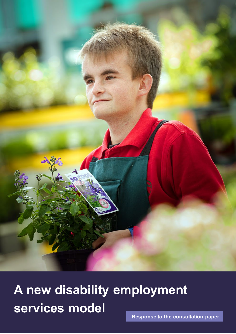

# **A new disability employment services model**

٤

MAX Solutions | Response to the new disability employment services model consultation 1 **Response to the consultation paper**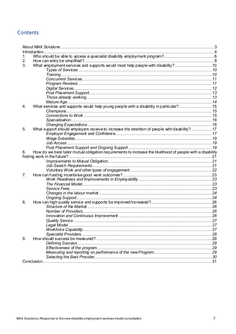### **Contents**

|    | Introduction.                                                                                               |  |
|----|-------------------------------------------------------------------------------------------------------------|--|
| 1. |                                                                                                             |  |
| 2. |                                                                                                             |  |
| 3. | What employment services and supports would most help people with disability?10                             |  |
|    |                                                                                                             |  |
|    |                                                                                                             |  |
|    |                                                                                                             |  |
|    |                                                                                                             |  |
|    |                                                                                                             |  |
|    |                                                                                                             |  |
|    |                                                                                                             |  |
|    |                                                                                                             |  |
| 4. | What services and supports would help young people with a disability in particular?15                       |  |
|    |                                                                                                             |  |
|    |                                                                                                             |  |
|    |                                                                                                             |  |
|    |                                                                                                             |  |
| 5. | What support should employers receive to increase the retention of people with disability?17                |  |
|    |                                                                                                             |  |
|    |                                                                                                             |  |
|    |                                                                                                             |  |
|    |                                                                                                             |  |
| 6. | How do we best tailor mutual obligation requirements to increase the likelihood of people with a disability |  |
|    |                                                                                                             |  |
|    |                                                                                                             |  |
|    |                                                                                                             |  |
|    |                                                                                                             |  |
| 7. |                                                                                                             |  |
|    |                                                                                                             |  |
|    |                                                                                                             |  |
|    |                                                                                                             |  |
|    |                                                                                                             |  |
|    |                                                                                                             |  |
| 8. |                                                                                                             |  |
|    |                                                                                                             |  |
|    |                                                                                                             |  |
|    |                                                                                                             |  |
|    |                                                                                                             |  |
|    |                                                                                                             |  |
|    |                                                                                                             |  |
|    |                                                                                                             |  |
| 9. |                                                                                                             |  |
|    |                                                                                                             |  |
|    |                                                                                                             |  |
|    |                                                                                                             |  |
|    |                                                                                                             |  |
|    |                                                                                                             |  |
|    |                                                                                                             |  |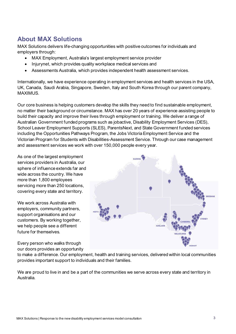# <span id="page-2-0"></span>**About MAX Solutions**

MAX Solutions delivers life-changing opportunities with positive outcomes for individuals and employers through:

- MAX Employment, Australia's largest employment service provider
- Injurynet, which provides quality workplace medical services and
- Assessments Australia, which provides independent health assessment services.

Internationally, we have experience operating in employment services and health services in the USA, UK, Canada, Saudi Arabia, Singapore, Sweden, Italy and South Korea through our parent company, MAXIMUS.

Our core business is helping customers develop the skills they need to find sustainable employment, no matter their background or circumstance. MAX has over 20 years of experience assisting people to build their capacity and improve their lives through employment or training. We deliver a range of Australian Government funded programs such as jobactive, Disability Employment Services (DES), School Leaver Employment Supports (SLES), ParentsNext, and State Government funded services including the Opportunities Pathways Program, the Jobs Victoria Employment Service and the Victorian Program for Students with Disabilities-Assessment Service. Through our case management and assessment services we work with over 150,000 people every year.

As one of the largest employment services providers in Australia, our sphere of influence extends far and wide across the country. We have more than 1,800 employees servicing more than 250 locations, covering every state and territory.

We work across Australia with employers, community partners, support organisations and our customers. By working together, we help people see a different future for themselves.

Every person who walks through our doors provides an opportunity



to make a difference. Our employment, health and training services, delivered within local communities provides important support to individuals and their families.

We are proud to live in and be a part of the communities we serve across every state and territory in Australia.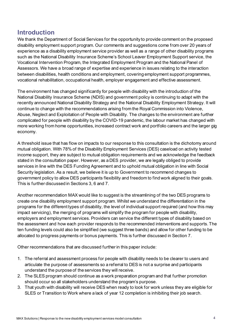### <span id="page-3-0"></span>**Introduction**

We thank the Department of Social Services for the opportunity to provide comment on the proposed disability employment support program. Our comments and suggestions come from over 20 years of experience as a disability employment service provider as well as a range of other disability programs such as the National Disability Insurance Scheme's School Leaver Employment Support service, the Vocational Intervention Program, the Integrated Employment Program and the National Panel of Assessors. We have a broad range of expertise and experience in issues relating to the interaction between disabilities, health conditions and employment, covering employment support programmes, vocational rehabilitation, occupational health, employer engagement and effective assessment.

The environment has changed significantly for people with disability with the introduction of the National Disability Insurance Scheme (NDIS) and government policy is continuing to adapt with the recently announced National Disability Strategy and the National Disability Employment Strategy. It will continue to change with the recommendations arising from the Royal Commission into Violence, Abuse, Neglect and Exploitation of People with Disability. The changes to the environment are further complicated for people with disability by the COVID-19 pandemic, the labour market has changed with more working from home opportunities, increased contract work and portfolio careers and the larger gig economy.

A threshold issue that has flow on impacts to our response to this consultation is the dichotomy around mutual obligation. With 78% of the Disability Employment Services (DES) caseload on activity tested income support, they are subject to mutual obligation requirements and we acknowledge the feedback stated in the consultation paper. However, as a DES provider, we are legally obliged to provide services in line with the DES Funding Agreement and to uphold mutual obligation in line with Social Security legislation. As a result, we believe it is up to Government to recommend changes to government policy to allow DES participants flexibility and freedom to find work aligned to their goals. This is further discussed in Sections 3, 6 and 7.

Another recommendation MAX would like to suggest is the streamlining of the two DES programs to create one disability employment support program. Whilst we understand the differentiation in the programs for the different types of disability, the level of individual support required (and how this may impact servicing), the merging of programs will simplify the program for people with disability, employers and employment services. Providers can service the different types of disability based on the assessment and how each provider responds to the recommended interventions and supports. The ten funding levels could also be simplified (we suggest three bands) and allow for other funding to be allocated to progress payments or bonus payments. This is further discussed in Section 7.

Other recommendations that are discussed further in this paper include:

- 1. The referral and assessment process for people with disability needs to be clearer to users and articulate the purpose of assessments so a referral to DES is not a surprise and participants understand the purpose of the services they will receive.
- 2. The SLES program should continue as a work preparation program and that further promotion should occur so all stakeholders understand the program's purpose.
- 3. That youth with disability will receive DES when ready to look for work unless they are eligible for SLES or Transition to Work where a lack of year 12 completion is inhibiting their job search.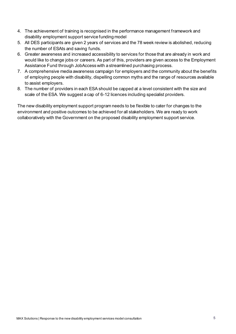- 4. The achievement of training is recognised in the performance management framework and disability employment support service funding model
- 5. All DES participants are given 2 years of services and the 78 week review is abolished, reducing the number of ESAts and saving funds.
- 6. Greater awareness and increased accessibility to services for those that are already in work and would like to change jobs or careers. As part of this, providers are given access to the Employment Assistance Fund through JobAccess with a streamlined purchasing process.
- 7. A comprehensive media awareness campaign for employers and the community about the benefits of employing people with disability, dispelling common myths and the range of resources available to assist employers.
- 8. The number of providers in each ESA should be capped at a level consistent with the size and scale of the ESA. We suggest a cap of 6-12 licences including specialist providers.

The new disability employment support program needs to be flexible to cater for changes to the environment and positive outcomes to be achieved for all stakeholders. We are ready to work collaboratively with the Government on the proposed disability employment support service.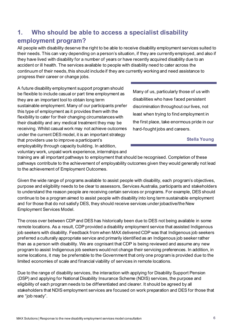# <span id="page-5-0"></span>**1. Who should be able to access a specialist disability employment program?**

All people with disability deserve the right to be able to receive disability employment services suited to their needs. This can vary depending on a person's situation, if they are currently employed, and also if they have lived with disability for a number of years or have recently acquired disability due to an accident or ill health. The services available to people with disability need to cater across the continuum of their needs, this should include if they are currently working and need assistance to progress their career or change jobs.

A future disability employment support program should be flexible to include casual or part time employment as they are an important tool to obtain long term sustainable employment. Many of our participants prefer this type of employment as it provides them with the flexibility to cater for their changing circumstances with their disability and any medical treatment they may be receiving. Whilst casual work may not achieve outcomes under the current DES model, it is an important strategy that providers use to improve a participant's employability through capacity building. In addition, voluntary work, unpaid work experience, internships and

[Many of us, particularly those of us with](https://www.quotemaster.org/q3dc8cedd33d9893a0f476c588e227395)  [disabilities who have faced persistent](https://www.quotemaster.org/q3dc8cedd33d9893a0f476c588e227395)  [discrimination throughout our lives, not](https://www.quotemaster.org/q3dc8cedd33d9893a0f476c588e227395)  [least when trying to find employment in](https://www.quotemaster.org/q3dc8cedd33d9893a0f476c588e227395)  [the first place, take enormous pride in our](https://www.quotemaster.org/q3dc8cedd33d9893a0f476c588e227395)  [hard-fought jobs and careers.](https://www.quotemaster.org/q3dc8cedd33d9893a0f476c588e227395)

#### **Stella Young**

training are all important pathways to employment that should be recognised. Completion of these pathways contribute to the achievement of employability outcomes given they would generally not lead to the achievement of Employment Outcomes.

Given the wide range of programs available to assist people with disability, each program's objectives, purpose and eligibility needs to be clear to assessors, Services Australia, participants and stakeholders to understand the reason people are receiving certain services or programs. For example, DES should continue to be a program aimed to assist people with disability into long term sustainable employment and for those that do not satisfy DES, they should receive services under jobactive/the New Employment Services Model.

The cross over between CDP and DES has historically been due to DES not being available in some remote locations. As a result, CDP provided a disability employment service that assisted Indigenous job seekers with disability. Feedback from when MAX delivered CDP was that Indigenous job seekers preferred a culturally appropriate service and primarily identified as an Indigenous job seeker rather than as a person with disability. We are cognisant that CDP is being reviewed and assume any new program to assist Indigenous job seekers would not change their servicing preferences. In addition, in some locations, it may be preferrable to the Government that only one program is provided due to the limited economies of scale and financial viability of services in remote locations.

Due to the range of disability services, the interaction with applying for Disability Support Pension (DSP) and applying for National Disability Insurance Scheme (NDIS) services, the purpose and eligibility of each program needs to be differentiated and clearer. It should be agreed by all stakeholders that NDIS employment services are focused on work preparation and DES for those that are "job ready".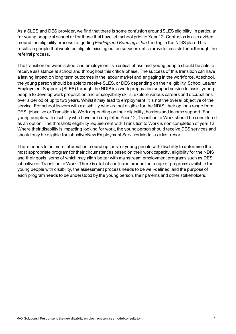As a SLES and DES provider, we find that there is some confusion around SLES eligibility, in particular for young people at school or for those that have left school prior to Year 12. Confusion is also evident around the eligibility process for getting *Finding and Keeping a Job* funding in the NDIS plan. This results in people that would be eligible missing out on services until a provider assists them through the referral process.

The transition between school and employment is a critical phase and young people should be able to receive assistance at school and throughout this critical phase. The success of this transition can have a lasting impact on long term outcomes in the labour market and engaging in the workforce.At school, the young person should be able to receive SLES, or DES depending on their eligibility. School Leaver Employment Supports (SLES) through the NDIS is a work preparation support service to assist young people to develop work preparation and employability skills, explore various careers and occupations over a period of up to two years. Whilst it may lead to employment, it is not the overall objective of the service. For school leavers with a disability who are not eligible for the NDIS, their options range from DES, jobactive or Transition to Work depending on their eligibility, barriers and income support. For young people with disability who have not completed Year 12, Transition to Work should be considered as an option. The threshold eligibility requirement with Transition to Work is non completion of year 12. Where their disability is impacting looking for work, the young person should receive DES services and should only be eligible for jobactive/New Employment Services Model as a last resort.

There needs to be more information around options for young people with disability to determine the most appropriate program for their circumstances based on their work capacity, eligibility for the NDIS and their goals, some of which may align better with mainstream employment programs such as DES, jobactive or Transition to Work. There is a lot of confusion around the range of programs available for young people with disability, the assessment process needs to be well-defined, and the purpose of each program needs to be understood by the young person, their parents and other stakeholders.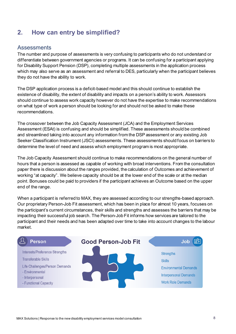# <span id="page-7-0"></span>**2. How can entry be simplified?**

### Assessments

The number and purpose of assessments is very confusing to participants who do not understand or differentiate between government agencies or programs. It can be confusing for a participant applying for Disability Support Pension (DSP), completing multiple assessments in the application process which may also serve as an assessment and referral to DES, particularly when the participant believes they do not have the ability to work.

The DSP application process is a deficit-based model and this should continue to establish the existence of disability, the extent of disability and impacts on a person's ability to work. Assessors should continue to assess work capacity however do not have the expertise to make recommendations on what type of work a person should be looking for and should not be asked to make these recommendations.

The crossover between the Job Capacity Assessment (JCA) and the Employment Services Assessment (ESAt) is confusing and should be simplified. These assessments should be combined and streamlined taking into account any information from the DSP assessment or any existing Job Seeker Classification Instrument (JSCI) assessments. These assessments should focus on barriers to determine the level of need and assess which employment program is most appropriate.

The Job Capacity Assessment should continue to make recommendations on the general number of hours that a person is assessed as capable of working with broad interventions. From the consultation paper there is discussion about the ranges provided, the calculation of Outcomes and achievement of working "at capacity". We believe capacity should be at the lower end of the scale or at the median point. Bonuses could be paid to providers if the participant achieves an Outcome based on the upper end of the range.

When a participant is referred to MAX, they are assessed according to our strengths-based approach. Our proprietary Person-Job Fit assessment, which has been in place for almost 10 years, focuses on the participant's current circumstances, their skills and strengths and assesses the barriers that may be impacting their successful job search. The Person-Job Fit informs how services are tailored to the participant and their needs and has been adapted over time to take into account changes to the labour market.

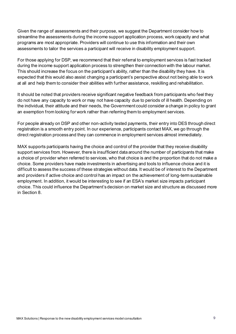Given the range of assessments and their purpose, we suggest the Department consider how to streamline the assessments during the income support application process, work capacity and what programs are most appropriate. Providers will continue to use this information and their own assessments to tailor the services a participant will receive in disability employment support.

For those applying for DSP, we recommend that their referral to employment services is fast tracked during the income support application process to strengthen their connection with the labour market. This should increase the focus on the participant's ability, rather than the disability they have. It is expected that this would also assist changing a participant's perspective about not being able to work at all and help them to consider their abilities with further assistance, reskilling and rehabilitation.

It should be noted that providers receive significant negative feedback from participants who feel they do not have any capacity to work or may not have capacity due to periods of ill health. Depending on the individual, their attitude and their needs, the Government could consider a change in policy to grant an exemption from looking for work rather than referring them to employment services.

For people already on DSP and other non-activity tested payments, their entry into DES through direct registration is a smooth entry point. In our experience, participants contact MAX, we go through the direct registration process and they can commence in employment services almost immediately.

MAX supports participants having the choice and control of the provider that they receive disability support services from. However, there is insufficient data around the number of participants that make a choice of provider when referred to services, who that choice is and the proportion that do not make a choice. Some providers have made investments in advertising and tools to influence choice and it is difficult to assess the success of these strategies without data. It would be of interest to the Department and providers if active choice and control has an impact on the achievement of long-term sustainable employment. In addition, it would be interesting to see if an ESA's market size impacts participant choice. This could influence the Department's decision on market size and structure as discussed more in Section 8.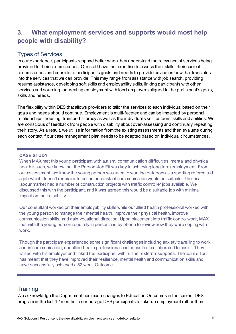# <span id="page-9-0"></span>**3. What employment services and supports would most help people with disability?**

### <span id="page-9-1"></span>Types of Services

In our experience, participants respond better when they understand the relevance of services being provided to their circumstances. Our staff have the expertise to assess their skills, their current circumstances and consider a participant's goals and needs to provide advice on how that translates into the services that we can provide. This may range from assistance with job search, providing resume assistance, developing soft skills and employability skills, linking participants with other services and sourcing, or creating employment with local employers aligned to the participant's goals, skills and needs.

The flexibility within DES that allows providers to tailor the services to each individual based on their goals and needs should continue. Employment is multi-faceted and can be impacted by personal relationships, housing, transport, literacy as well as the individual's self-esteem, skills and abilities. We are conscious of feedback from people with disability about over-assessing and continually repeating their story. As a result, we utilise information from the existing assessments and then evaluate during each contact if our case management plan needs to be adapted based on individual circumstances.

#### **CASE STUDY**

When MAX met this young participant with autism, communication difficulties, mental and physical health issues, we knew that the Person-Job Fit was key to achieving long term employment. From our assessment, we knew the young person was used to working outdoors as a sporting referee and a job which doesn't require interaction or constant communication would be suitable. The local labour market had a number of construction projects with traffic controller jobs available. We discussed this with the participant, and it was agreed this would be a suitable job with minimal impact on their disability.

Our consultant worked on their employability skills while our allied health professional worked with the young person to manage their mental health, improve their physical health, improve communication skills, and gain vocational direction. Upon placement into traffic control work, MAX met with the young person regularly in person and by phone to review how they were coping with work.

Though the participant experienced some significant challenges including anxiety travelling to work and in communication, our allied health professional and consultant collaborated to assist. They liaised with his employer and linked the participant with further external supports. The team effort has meant that they have improved their resilience, mental health and communication skills and have successfully achieved a 52 week Outcome.

### <span id="page-9-2"></span>**Training**

We acknowledge the Department has made changes to Education Outcomes in the current DES program in the last 12 months to encourage DES participants to take up employment rather than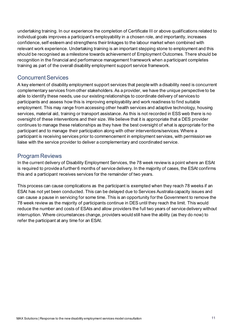undertaking training. In our experience the completion of Certificate III or above qualifications related to individual goals improves a participant's employability in a chosen role, and importantly, increases confidence, self-esteem and strengthens their linkages to the labour market when combined with relevant work experience. Undertaking training is an important stepping stone to employment and this should be recognised as a milestone towards achievement of Employment Outcomes. There should be recognition in the financial and performance management framework when a participant completes training as part of the overall disability employment support service framework.

### <span id="page-10-0"></span>Concurrent Services

A key element of disability employment support services that people with a disability need is concurrent complementary services from other stakeholders. As a provider, we have the unique perspective to be able to identify these needs, use our existing relationships to coordinate delivery of services to participants and assess how this is improving employability and work readiness to find suitable employment. This may range from accessing other health services and adaptive technology, housing services, material aid, training or transport assistance. As this is not recorded in ESS web there is no oversight of these interventions and their size. We believe that it is appropriate that a DES provider continues to manage these relationships as they have the best oversight of what is appropriate for the participant and to manage their participation along with other interventions/services. Where a participant is receiving services prior to commencement in employment services, with permission we liaise with the service provider to deliver a complementary and coordinated service.

### <span id="page-10-1"></span>Program Reviews

In the current delivery of Disability Employment Services, the 78 week review is a point where an ESAt is required to provide a further 6 months of service delivery. In the majority of cases, the ESAt confirms this and a participant receives services for the remainder of two years.

This process can cause complications as the participant is exempted when they reach 78 weeks if an ESAt has not yet been conducted. This can be delayed due to Services Australia capacity issues and can cause a pause in servicing for some time. This is an opportunity for the Government to remove the 78 week review as the majority of participants continue in DES until they reach the limit. This would reduce the number and costs of ESAts and allow providers the full two years of service delivery without interruption. Where circumstances change, providers would still have the ability (as they do now) to refer the participant at any time for an ESAt.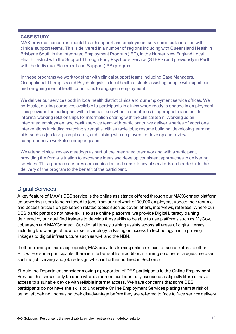#### **CASE STUDY**

MAX provides concurrent mental health support and employment services in collaboration with clinical support teams. This is delivered in a number of regions including with Queensland Health in Brisbane South in the Integrated Employment Program (IEP), in the Hunter New England Local Health District with the Support Through Early Psychosis Service (STEPS) and previously in Perth with the Individual Placement and Support (IPS) program.

In these programs we work together with clinical support teams including Case Managers, Occupational Therapists and Psychologists in local health districts assisting people with significant and on-going mental health conditions to engage in employment.

We deliver our services both in local health district clinics and our employment service offices. We co-locate, making ourselves available to participants in clinics when ready to engage in employment. This provides the participant with a familiar face when in our offices (if appropriate) and builds informal working relationships for information sharing with the clinical team. Working as an integrated employment and health service team with participants, we deliver a series of vocational interventions including matching strengths with suitable jobs; resume building; developing learning aids such as job task prompt cards; and liaising with employers to develop and review comprehensive workplace support plans.

We attend clinical review meetings as part of the integrated team working with a participant, providing the formal situation to exchange ideas and develop consistent approaches to delivering services. This approach ensures communication and consistency of service is embedded into the delivery of the program to the benefit of the participant.

### <span id="page-11-0"></span>Digital Services

A key feature of MAX's DES service is the online assistance offered through our MAXConnect platform empowering users to be matched to jobs from our network of 30,000 employers, update their resume and access articles on job search related topics such as cover letters, interviews, referees. Where our DES participants do not have skills to use online platforms, we provide Digital Literacy training delivered by our qualified trainers to develop these skills to be able to use platforms such as MyGov, Jobsearch and MAXConnect. Our digital literacy training assists across all areas of digital literacy including knowledge of how to use technology, advising on access to technology and improving linkages to digital infrastructure such as wi-fi and the NBN.

If other training is more appropriate, MAX provides training online or face to face or refers to other RTOs. For some participants, there is little benefit from additional training so other strategies are used such as job carving and job redesign which is further outlined in Section 5.

Should the Department consider moving a proportion of DES participants to the Online Employment Service, this should only be done where a person has been fully assessed as digitally literate, have access to a suitable device with reliable internet access. We have concerns that some DES participants do not have the skills to undertake Online Employment Services placing them at risk of being left behind, increasing their disadvantage before they are referred to face to face service delivery.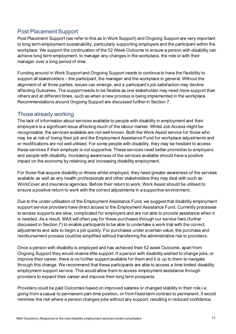### <span id="page-12-0"></span>Post Placement Support

Post Placement Support (we refer to this as In Work Support) and Ongoing Support are very important to long term employment sustainability, particularly supporting employers and the participant within the workplace. We support the continuation of the 52 Week Outcome to ensure a person with disability can achieve long term employment, to manage any changes in the workplace, the role or with their manager over a long period of time.

Funding around In Work Support and Ongoing Support needs to continue to have the flexibility to support all stakeholders – the participant, the manager and the workplace in general. Without the alignment of all three parties, issues can emerge, and a participant's job satisfaction may decline affecting Outcomes. The support needs to be flexible as one stakeholder may need more support than others and at different times, such as when a new process is being implemented in the workplace. Recommendations around Ongoing Support are discussed further in Section 7.

### <span id="page-12-1"></span>Those already working

The lack of information about services available to people with disability in employment and their employers is a significant issue affecting much of the labour market. Whilst Job Access might be recognisable, the services available are not well known. Both the Work Assist service for those who may be at risk of losing their job and the Employment Assistance Fund for workplace adjustments and or modifications are not well utilised. For some people with disability, they may be hesitant to access these services if their employer is not supportive. These services need better promotion to employers and people with disability. Increasing awareness of the services available should have a positive impact on the economy by retaining and increasing disability employment.

For those that acquire disability or illness whilst employed, they need greater awareness of the services available as well as any health professionals and other stakeholders they may deal with such as WorkCover and insurance agencies. Before their return to work, Work Assist should be utilised to ensure a positive return to work with the correct adjustments in a supportive environment.

Due to the under-utilisation of the Employment Assistance Fund, we suggest that disability employment support service providers have direct access to the Employment Assistance Fund. Currently processes to access supports are slow, complicated for employers and are not able to provide assistance when it is needed. As a result, MAX will often pay for these purchases through our service fees (further discussed in Section 7) to enable participants to be able to undertake a work trial with the correct adjustments and aids to begin a job quickly. For purchases under a certain value, the purchase and reimbursement process could be simplified without transferring the administrative risk to providers.

Once a person with disability is employed and has achieved their 52 week Outcome, apart from Ongoing Support they would receive little support. If a person with disability wished to change jobs, or improve their career, there is no further support available for them and it is up to them to navigate through this change. We recommend that these participants are able to access a time limited disability employment support service. This would allow them to access employment assistance through providers to expand their career and improve their long term prospects.

Providers could be paid Outcomes based on improved salaries or changed stability in their role i.e. going from a casual to permanent part-time position, or from fixed-term contract to permanent. It would minimise the risk where a person changes jobs without any support, resulting in reduced confidence.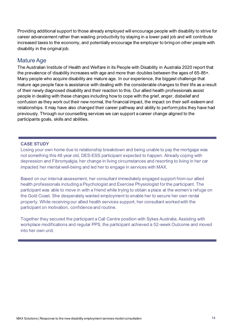Providing additional support to those already employed will encourage people with disability to strive for career advancement rather than wasting productivity by staying in a lower paid job and will contribute increased taxes to the economy, and potentially encourage the employer to bring on other people with disability in the original job.

#### <span id="page-13-0"></span>Mature Age

The Australian Institute of Health and Welfare in its People with Disability in Australia 2020 report that the prevalence of disability increases with age and more than doubles between the ages of 65-85+. Many people who acquire disability are mature age. In our experience, the biggest challenge that mature age people face is assistance with dealing with the considerable changes to their life as a result of their newly diagnosed disability and their reaction to this. Our allied health professionals assist people in dealing with these changes including how to cope with the grief, anger, disbelief and confusion as they work out their new normal, the financial impact, the impact on their self-esteem and relationships. It may have also changed their career pathway and ability to perform jobs they have had previously. Through our counselling services we can support a career change aligned to the participants goals, skills and abilities.

#### **CASE STUDY**

Losing your own home due to relationship breakdown and being unable to pay the mortgage was not something this 48 year old, DES-ESS participant expected to happen. Already coping with depression and Fibromyalgia, her change in living circumstances and resorting to living in her car impacted her mental well-being and led her to engage in services with MAX.

Based on our internal assessment, her consultant immediately engaged support from our allied health professionals including a Psychologist and Exercise Physiologist for the participant. The participant was able to move in with a friend while trying to obtain a place at the women's refuge on the Gold Coast. She desperately wanted employment to enable her to secure her own rental property. While receiving our allied health services support, her consultant worked with the participant on motivation, confidence and routine.

Together they secured the participant a Call Centre position with Sykes Australia. Assisting with workplace modifications and regular PPS, the participant achieved a 52-week Outcome and moved into her own unit.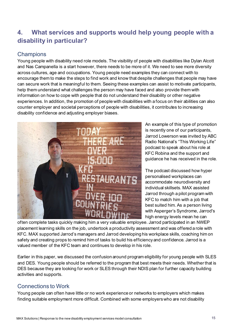# <span id="page-14-0"></span>**4. What services and supports would help young people with a disability in particular?**

### <span id="page-14-1"></span>**Champions**

Young people with disability need role models. The visibility of people with disabilities like Dylan Alcott and Nas Campanella is a start however, there needs to be more of it. We need to see more diversity across cultures, age and occupations. Young people need examples they can connect with to encourage them to make the steps to find work and know that despite challenges that people may have can secure work that is meaningful to them. Seeing these examples can assist to motivate participants, help them understand what challenges the person may have faced and also provide them with information on how to cope with people that do not understand their disability or other negative experiences. In addition, the promotion of people with disabilities with a focus on their abilities can also counter employer and societal perceptions of people with disabilities, it contributes to increasing disability confidence and adjusting employer biases.



An example of this type of promotion is recently one of our participants, Jarrod Lowerson was invited by ABC Radio National's "This Working Life" podcast to speak about his role at KFC Robina and the support and guidance he has received in the role.

The podcast discussed how hyper personalised workplaces can accommodate neurodiversity and individual skillsets. MAX assisted Jarrod through a pilot program with KFC to match him with a job that best suited him. As a person living with Asperger's Syndrome, Jarrod's high energy levels mean he can

often complete tasks quickly making him a very valuable employee. Jarrod participated in an NWEP placement learning skills on the job, undertook a productivity assessment and was offered a role with KFC. MAX supported Jarrod's managers and Jarrod developing his workplace skills, coaching him on safety and creating props to remind him of tasks to build his efficiency and confidence. Jarrod is a valued member of the KFC team and continues to develop in his role.

Earlier in this paper, we discussed the confusion around program eligibility for young people with SLES and DES. Young people should be referred to the program that best meets their needs. Whether that is DES because they are looking for work or SLES through their NDIS plan for further capacity building activities and supports.

### <span id="page-14-2"></span>Connections to Work

Young people can often have little or no work experience or networks to employers which makes finding suitable employment more difficult. Combined with some employers who are not disability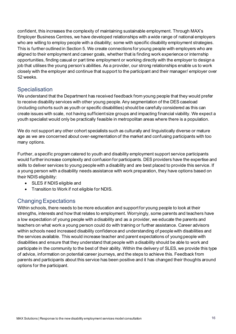confident, this increases the complexity of maintaining sustainable employment. Through MAX's Employer Business Centres, we have developed relationships with a wide range of national employers who are willing to employ people with a disability; some with specific disability employment strategies. This is further outlined in Section 5. We create connections for young people with employers who are aligned to their employment and career goals, whether that is finding work experience or internship opportunities, finding casual or part time employment or working directly with the employer to design a job that utilises the young person's abilities. As a provider, our strong relationships enable us to work closely with the employer and continue that support to the participant and their manager/ employer over 52 weeks.

### <span id="page-15-0"></span>**Specialisation**

We understand that the Department has received feedback from young people that they would prefer to receive disability services with other young people. Any segmentation of the DES caseload (including cohorts such as youth or specific disabilities) should be carefully considered as this can create issues with scale, not having sufficient size groups and impacting financial viability. We expect a youth specialist would only be practically feasible in metropolitan areas where there is a population.

We do not support any other cohort specialists such as culturally and linguistically diverse or mature age as we are concerned about over-segmentation of the market and confusing participants with too many options.

Further, a specific program catered to youth and disability employment support service participants would further increase complexity and confusion for participants. DES providers have the expertise and skills to deliver services to young people with a disability and are best placed to provide this service. If a young person with a disability needs assistance with work preparation, they have options based on their NDIS eligibility:

- SLES if NDIS eligible and
- Transition to Work if not eligible for NDIS.

### <span id="page-15-1"></span>Changing Expectations

Within schools, there needs to be more education and support for young people to look at their strengths, interests and how that relates to employment. Worryingly, some parents and teachers have a low expectation of young people with a disability and as a provider, we educate the parents and teachers on what work a young person could do with training or further assistance. Career advisors within schools need increased disability confidence and understanding of people with disabilities and the services available. This would increase teacher and parent expectations of young people with disabilities and ensure that they understand that people with a disability should be able to work and participate in the community to the best of their ability. Within the delivery of SLES, we provide this type of advice, information on potential career journeys, and the steps to achieve this. Feedback from parents and participants about this service has been positive and it has changed their thoughts around options for the participant.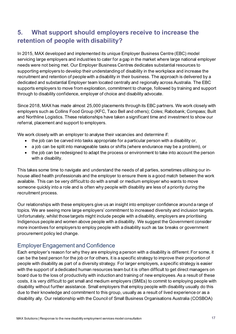# <span id="page-16-0"></span>**5. What support should employers receive to increase the retention of people with disability?**

In 2015, MAX developed and implemented its unique Employer Business Centre (EBC) model servicing large employers and industries to cater for a gap in the market where large national employer needs were not being met. Our Employer Business Centres dedicates substantial resources to supporting employers to develop their understanding of disability in the workplace and increase the recruitment and retention of people with a disability in their business. The approach is delivered by a dedicated and substantial Employer team located centrally and regionally across Australia. The EBC supports employers to move from exploration, commitment to change, followed by training and support through to disability confidence, employer of choice and disability advocate.

Since 2018, MAX has made almost 25,000 placements through its EBC partners. We work closely with employers such as Collins Food Group (KFC, Taco Bell and others); Coles; Rabobank; Compass; Built and Northline Logistics. These relationships have taken a significant time and investment to show our referral, placement and support to employers.

We work closely with an employer to analyse their vacancies and determine if:

- the job can be carved into tasks appropriate for a particular person with a disability or,
- a job can be split into manageable tasks or shifts (where endurance may be a problem), or
- the job can be redesigned to adapt the process or environment to take into account the person with a disability.

This takes some time to navigate and understand the needs of all parties, sometimes utilising our inhouse allied health professionals and the employer to ensure there is a good match between the work available. This can be very difficult to do with a small or medium employer who wants to move someone quickly into a role and is often why people with disability are less of a priority during the recruitment process.

Our relationships with these employers give us an insight into employer confidence around a range of topics. We are seeing more large employers' commitment to increased diversity and inclusion targets. Unfortunately, whilst those targets might include people with a disability, employers are prioritising Indigenous people and women above people with a disability. We suggest the Government consider more incentives for employers to employ people with a disability such as tax breaks or government procurement policy led change.

### <span id="page-16-1"></span>Employer Engagement and Confidence

Each employer's reason for why they are employing a person with a disability is different. For some, it can be the best person for the job or for others, it is a specific strategy to improve their proportion of people with disability as part of a diversity strategy. For larger employers, a specific strategy is easier with the support of a dedicated human resources team but it is often difficult to get direct managers on board due to the loss of productivity with induction and training of new employees. As a result of these costs, it is very difficult to get small and medium employers (SMEs) to commit to employing people with disability without further assistance. Small employers that employ people with disability usually do this due to their knowledge and commitment to this group, usually as a result of lived experience or as a disability ally. Our relationship with the Council of Small Business Organisations Australia (COSBOA)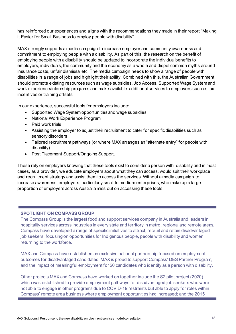has reinforced our experiences and aligns with the recommendations they made in their report "Making it Easier for Small Business to employ people with disability".

MAX strongly supports a media campaign to increase employer and community awareness and commitment to employing people with a disability. As part of this, the research on the benefit of employing people with a disability should be updated to incorporate the individual benefits to employers, individuals, the community and the economy as a whole and dispel common myths around insurance costs, unfair dismissal etc. The media campaign needs to show a range of people with disabilities in a range of jobs and highlight their ability. Combined with this, the Australian Government should promote existing resources such as wage subsidies, Job Access, Supported Wage System and work experience/internship programs and make available additional services to employers such as tax incentives or training offsets.

In our experience, successful tools for employers include:

- Supported Wage System opportunities and wage subsidies
- National Work Experience Program
- Paid work trials
- Assisting the employer to adjust their recruitment to cater for specific disabilities such as sensory disorders
- Tailored recruitment pathways (or where MAX arranges an "alternate entry" for people with disability)
- Post Placement Support/Ongoing Support.

These rely on employers knowing that these tools exist to consider a person with disability and in most cases, as a provider, we educate employers about what they can access, would suit their workplace and recruitment strategy and assist them to access the services. Without a media campaign to increase awareness, employers, particularly small to medium enterprises, who make up a large proportion of employers across Australia miss out on accessing these tools.

#### **SPOTLIGHT ON COMPASS GROUP**

The Compass Group is the largest food and support services company in Australia and leaders in hospitality services across industries in every state and territory in metro, regional and remote areas. Compass have developed a range of specific initiatives to attract, recruit and retain disadvantaged job seekers, focusing on opportunities for Indigenous people, people with disability and women returning to the workforce.

MAX and Compass have established an exclusive national partnership focused on employment outcomes for disadvantaged candidates. MAX is proud to support Compass' DES Partner Program, and the impact of meaningful employment for 50 candidates who identify as a person with disability.

Other projects MAX and Compass have worked on together include the S2 pilot project (2020) which was established to provide employment pathways for disadvantaged job seekers who were not able to engage in other programs due to COVID-19 restraints but able to apply for roles within Compass' remote area business where employment opportunities had increased; and the 2015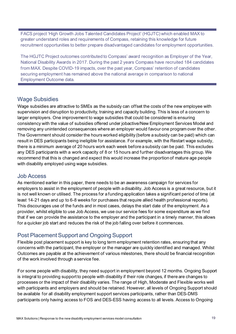FACS project 'High Growth Jobs Talented Candidates Project' (HGJTC) which enabled MAX to greater understand roles and requirements of Compass, retaining this knowledge for future recruitment opportunities to better prepare disadvantaged candidates for employment opportunities.

The HGJTC Project outcomes contributed to Compass' award recognition as Employer of the Year, National Disability Awards in 2017. During the past 2 years Compass have recruited 184 candidates from MAX. Despite COVID-19 impacts, over the past year, Compass' retention of candidates securing employment has remained above the national average in comparison to national Employment Outcome data.

### <span id="page-18-0"></span>Wage Subsidies

Wage subsidies are attractive to SMEs as the subsidy can offset the costs of the new employee with supervision and disruption to productivity, training and capacity building. This is less of a concern to larger employers. One improvement to wage subsidies that could be considered is ensuring consistency with the value of subsidies offered under jobactive/New Employment Services Model and removing any unintended consequences where an employer would favour one program over the other. The Government should consider the hours worked eligibility (before a subsidy can be paid) which can result in DES participants being ineligible for assistance. For example, with the Restart wage subsidy, there is a minimum average of 20 hours work each week before a subsidy can be paid. This excludes any DES participants with a work capacity of 8 or 15 hours and further disadvantages this group. We recommend that this is changed and expect this would increase the proportion of mature age people with disability employed using wage subsidies.

### <span id="page-18-1"></span>Job Access

As mentioned earlier in this paper, there needs to be an awareness campaign for services for employers to assist in the employment of people with a disability. Job Access is a great resource, but it is not well known or utilised. The process for a funding application takes a significant period of time (at least 14-21 days and up to 6-8 weeks for purchases that require allied health professional reports). This discourages use of the funds and in most cases, delays the start date of the employment. As a provider, whilst eligible to use Job Access, we use our service fees for some expenditure as we find that if we can provide the assistance to the employer and the participant in a timely manner, this allows for a quicker job start and reduces the risk of the job falling over before it commences.

### <span id="page-18-2"></span>Post Placement Support and Ongoing Support

Flexible post placement support is key to long term employment retention rates, ensuring that any concerns with the participant, the employer or the manager are quickly identified and managed. Whilst Outcomes are payable at the achievement of various milestones, there should be financial recognition of the work involved through a service fee.

For some people with disability, they need support in employment beyond 12 months. Ongoing Support is integral to providing support to people with disability if their role changes, if there are changes to processes or the impact of their disability varies. The range of High, Moderate and Flexible works well with participants and employers and should be retained. However, all levels of Ongoing Support should be available for all disability employment support services participants, rather than DES-DMS participants only having access to FOS and DES-ESS having access to all levels. Access to Ongoing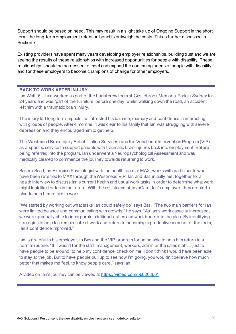Support should be based on need. This may result in a slight take up of Ongoing Support in the short term, the long-term employment retention benefits outweigh the costs. This is further discussed in Section 7.

Existing providers have spent many years developing employer relationships, building trust and we are seeing the results of these relationships with increased opportunities for people with disability. These relationships should be harnessed to meet and expand the continuing needs of people with disability and for these employers to become champions of change for other employers.

#### **BACK TO WORK AFTER INJURY**

Ian Watt, 61, had worked as part of the burial crew team at Castlebrook Memorial Park in Sydney for 24 years and was 'part of the furniture' before one day, whilst walking down the road, an accident left him with a traumatic brain injury.

The injury left long term impacts that affected his balance, memory and confidence in interacting with groups of people. After 4 months, it was clear to his family that Ian was struggling with severe depression and they encouraged him to get help.

The Westmead Brain Injury Rehabilitation Services runs the Vocational Intervention Program (VIP) as a specific service to support patients with traumatic brain injuries back into employment. Before being referred into the program, Ian underwent a Neuropsychological Assessment and was medically cleared to commence the journey towards returning to work.

Basem Saad, an Exercise Physiologist with the health team at MAX, works with participants who have been referred to MAX through the Westmead VIP. Ian and Bas initially met together for a health interview to discuss Ian's current health and usual work tasks in order to determine what work might look like for Ian in the future. With the assistance of InvoCare, Ian's employer, they created a plan to help him return to work.

"We started by working out what tasks Ian could safely do" says Bas. "The two main barriers for Ian were limited balance and communicating with crowds," he says. "As Ian's work capacity increased, we were gradually able to incorporate additional duties and work hours into the plan. By identifying strategies to help Ian remain safe at work and return to becoming a productive member of the team, Ian's confidence improved."

Ian is grateful to his employer, to Bas and the VIP program for being able to help him return to a normal routine. "If it wasn't for the staff, management, workers, admin or the sales staff… just to have people to be around, to help my confidence, check on me, I don't think I would have been able to stay at the job. But to have people pull up to see how I'm going, you wouldn't believe how much better that makes me feel, to know people care," says Ian.

A video on Ian's journey can be viewed at <https://vimeo.com/560268661>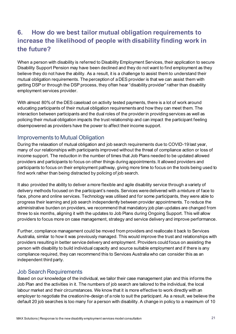# <span id="page-20-0"></span>**6. How do we best tailor mutual obligation requirements to increase the likelihood of people with disability finding work in the future?**

When a person with disability is referred to Disability Employment Services, their application to secure Disability Support Pension may have been declined and they do not want to find employment as they believe they do not have the ability. As a result, it is a challenge to assist them to understand their mutual obligation requirements. The perception of a DES provider is that we can assist them with getting DSP or through the DSP process, they often hear "disability provider" rather than disability employment services provider.

With almost 80% of the DES caseload on activity tested payments, there is a lot of work around educating participants of their mutual obligation requirements and how they can meet them. The interaction between participants and the dual roles of the provider in providing services as well as policing their mutual obligation impacts the trust relationship and can impact the participant feeling disempowered as providers have the power to affect their income support.

### <span id="page-20-1"></span>Improvements to Mutual Obligation

During the relaxation of mutual obligation and job search requirements due to COVID-19 last year, many of our relationships with participants improved without the threat of compliance action or loss of income support. The reduction in the number of times that Job Plans needed to be updated allowed providers and participants to focus on other things during appointments. It allowed providers and participants to focus on their employment pathway, giving more time to focus on the tools being used to find work rather than being distracted by policing of job search.

It also provided the ability to deliver a more flexible and agile disability service through a variety of delivery methods focused on the participant's needs. Services were delivered with a mixture of face to face, phone and online services. Technology was utilised and for some participants, they were able to progress their learning and job search independently between provider appointments. To reduce the administrative burden on providers, we recommend that mandatory job plan updates are changed from three to six months, aligning it with the updates to Job Plans during Ongoing Support. This will allow providers to focus more on case management, strategy and service delivery and improve performance.

Further, compliance management could be moved from providers and reallocate it back to Services Australia, similar to how it was previously managed. This would improve the trust and relationships with providers resulting in better service delivery and employment. Providers could focus on assisting the person with disability to build individual capacity and source suitable employment and if there is any compliance required, they can recommend this to Services Australia who can consider this as an independent third party.

### <span id="page-20-2"></span>Job Search Requirements

Based on our knowledge of the individual, we tailor their case management plan and this informs the Job Plan and the activities in it. The numbers of job search are tailored to the individual, the local labour market and their circumstances. We know that it is more effective to work directly with an employer to negotiate the creation/re-design of a role to suit the participant. As a result, we believe the default 20 job searches is too many for a person with disability. A change in policy to a maximum of 10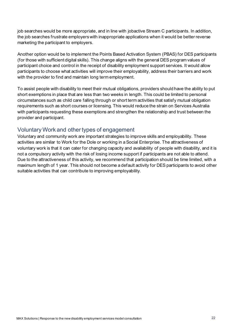job searches would be more appropriate, and in line with jobactive Stream C participants. In addition, the job searches frustrate employers with inappropriate applications when it would be better reverse marketing the participant to employers.

Another option would be to implement the Points Based Activation System (PBAS) for DES participants (for those with sufficient digital skills). This change aligns with the general DES program values of participant choice and control in the receipt of disability employment support services. It would allow participants to choose what activities will improve their employability, address their barriers and work with the provider to find and maintain long term employment.

To assist people with disability to meet their mutual obligations, providers should have the ability to put short exemptions in place that are less than two weeks in length. This could be limited to personal circumstances such as child care falling through or short term activities that satisfy mutual obligation requirements such as short courses or licensing. This would reduce the strain on Services Australia with participants requesting these exemptions and strengthen the relationship and trust between the provider and participant.

### <span id="page-21-0"></span>Voluntary Work and other types of engagement

Voluntary and community work are important strategies to improve skills and employability. These activities are similar to Work for the Dole or working in a Social Enterprise. The attractiveness of voluntary work is that it can cater for changing capacity and availability of people with disability, and it is not a compulsory activity with the risk of losing income support if participants are not able to attend. Due to the attractiveness of this activity, we recommend that participation should be time limited, with a maximum length of 1 year. This should not become a default activity for DES participants to avoid other suitable activities that can contribute to improving employability.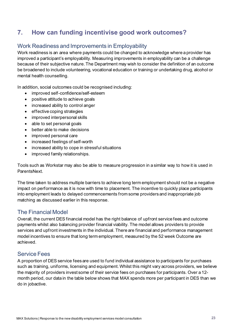# <span id="page-22-0"></span>**7. How can funding incentivise good work outcomes?**

### <span id="page-22-1"></span>Work Readiness and Improvements in Employability

Work readiness is an area where payments could be changed to acknowledge where a provider has improved a participant's employability. Measuring improvements in employability can be a challenge because of their subjective nature. The Department may wish to consider the definition of an outcome be broadened to include volunteering, vocational education or training or undertaking drug, alcohol or mental health counselling.

In addition, social outcomes could be recognised including:

- improved self-confidence/self-esteem
- positive attitude to achieve goals
- increased ability to control anger
- effective coping strategies
- improved interpersonal skills
- able to set personal goals
- better able to make decisions
- improved personal care
- increased feelings of self-worth
- increased ability to cope in stressful situations
- improved family relationships.

Tools such as Workstar may also be able to measure progression in a similar way to how it is used in ParentsNext.

The time taken to address multiple barriers to achieve long term employment should not be a negative impact on performance as it is now with time to placement. The incentive to quickly place participants into employment leads to delayed commencements from some providers and inappropriate job matching as discussed earlier in this response.

### <span id="page-22-2"></span>The Financial Model

Overall, the current DES financial model has the right balance of upfront service fees and outcome payments whilst also balancing provider financial viability. The model allows providers to provide services and upfront investments in the individual. There are financial and performance management model incentives to ensure that long term employment, measured by the 52 week Outcome are achieved.

### <span id="page-22-3"></span>Service Fees

A proportion of DES service fees are used to fund individual assistance to participants for purchases such as training, uniforms, licensing and equipment.Whilst this might vary across providers, we believe the majority of providers invest some of their service fees on purchases for participants. Over a 12 month period, our data in the table below shows that MAX spends more per participant in DES than we do in jobactive.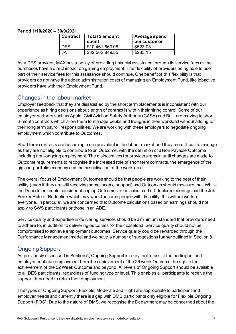#### **Period 1/10/2020 – 30/9/2021**

| <b>Contract</b> | Total \$ amount<br>spent | Average spend<br>percustomer |
|-----------------|--------------------------|------------------------------|
| DES.            | \$10,461,660.08          | \$523.08                     |
| JA.             | \$32,562,849.55          | \$283.15                     |

As a DES provider, MAX has a policy of providing financial assistance through its service fees as the purchases have a direct impact on gaining employment. The flexibility of providers being able to use part of their service fees for this assistance should continue. One benefit of this flexibility is that providers do not have the added administration costs of managing an Employment Fund, like jobactive providers have with their Employment Fund.

### <span id="page-23-0"></span>Changes in the labour market

Employer feedback that they are dissatisfied by the short term placements is inconsistent with our experience as hiring decisions about length of contract is within their hiring control. Some of our employer partners such as Apple, Civil Aviation Safety Authority (CASA) and Built are moving to short 6-month contracts which allow them to manage peaks and troughs in their workload without adding to their long term payroll responsibilities. We are working with these employers to negotiate ongoing employment which contribute to Outcomes.

Short term contracts are becoming more prevalent in the labour market and they are difficult to manage as they are not eligible to contribute to an Outcome, with the definition of a Non Payable Outcome including non-ongoing employment. The disincentives for providers remain until changes are made to Outcome requirements to recognise the increased role of short term contracts, the emergence of the gig and portfolio economy and the casualisation of the workforce.

The overall focus of Employment Outcomes should be that people are working to the best of their ability (even if they are still receiving some income support) and Outcomes should measure that. Whilst the Department could consider changing Outcomes to be calculated off declared earnings and the Job Seeker Rate of Reduction which may work for some people with disability, this will not work for everyone. In particular, we are concerned that Outcome calculations based on earnings should not apply to SWS participants or those in an ADE.

Service quality and expertise in delivering services should be a minimum standard that providers need to adhere to, in addition to delivering outcomes for their caseload. Service quality should not be compromised to achieve employment outcomes. Service quality could be rewarded through the Performance Management model and we have a number of suggestions further outlined in Section 8.

### <span id="page-23-1"></span>Ongoing Support

As previously discussed in Section 5, Ongoing Support is a key tool to assist the participant and employer continue employment from the achievement of the 26 week Outcome through to the achievement of the 52 Week Outcome and beyond. All levels of Ongoing Support should be available to all DES participants, regardless of funding type or level. This enables all participants to receive the support they need to retain their employment.

The types of Ongoing Support (Flexible, Moderate and High) are appropriate to participant and employer needs and currently there is a gap with DMS participants only eligible for Flexible Ongoing Support (FOS). Due to the nature of DMS, we recognise the Department may be concerned about the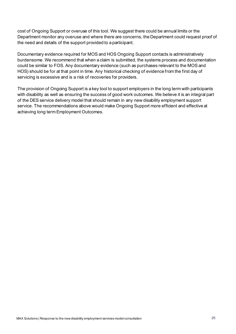cost of Ongoing Support or overuse of this tool. We suggest there could be annual limits or the Department monitor any overuse and where there are concerns, the Department could request proof of the need and details of the support provided to a participant.

Documentary evidence required for MOS and HOS Ongoing Support contacts is administratively burdensome. We recommend that when a claim is submitted, the systems process and documentation could be similar to FOS. Any documentary evidence (such as purchases relevant to the MOS and HOS) should be for at that point in time. Any historical checking of evidence from the first day of servicing is excessive and is a risk of recoveries for providers.

The provision of Ongoing Support is a key tool to support employers in the long term with participants with disability as well as ensuring the success of good work outcomes. We believe it is an integral part of the DES service delivery model that should remain in any new disability employment support service. The recommendations above would make Ongoing Support more efficient and effective at achieving long term Employment Outcomes.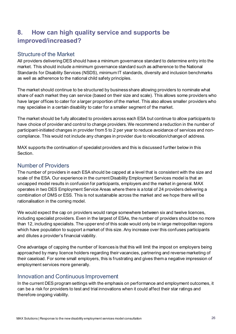# <span id="page-25-0"></span>**8. How can high quality service and supports be improved/increased?**

### <span id="page-25-1"></span>Structure of the Market

All providers delivering DES should have a minimum governance standard to determine entry into the market. This should include a minimum governance standard such as adherence to the National Standards for Disability Services (NSDS), minimum IT standards, diversity and inclusion benchmarks as well as adherence to the national child safety principles.

The market should continue to be structured by business share allowing providers to nominate what share of each market they can service (based on their size and scale). This allows some providers who have larger offices to cater for a larger proportion of the market. This also allows smaller providers who may specialise in a certain disability to cater for a smaller segment of the market.

The market should be fully allocated to providers across each ESA but continue to allow participants to have choice of provider and control to change providers. We recommend a reduction in the number of participant-initiated changes in provider from 5 to 2 per year to reduce avoidance of services and noncompliance. This would not include any changes in provider due to relocation/change of address.

MAX supports the continuation of specialist providers and this is discussed further below in this Section.

### <span id="page-25-2"></span>Number of Providers

The number of providers in each ESA should be capped at a level that is consistent with the size and scale of the ESA. Our experience in the current Disability Employment Services model is that an uncapped model results in confusion for participants, employers and the market in general. MAX operates in two DES Employment Service Areas where there is a total of 24 providers delivering a combination of DMS or ESS. This is not sustainable across the market and we hope there will be rationalisation in the coming model.

We would expect the cap on providers would range somewhere between six and twelve licences, including specialist providers. Even in the largest of ESAs, the number of providers should be no more than 12, including specialists. The upper end of this scale would only be in large metropolitan regions which have population to support a market of this size. Any increase over this confuses participants and dilutes a provider's financial viability.

One advantage of capping the number of licences is that this will limit the impost on employers being approached by many licence holders regarding their vacancies, partnering and reverse marketing of their caseload. For some small employers, this is frustrating and gives them a negative impression of employment services more generally.

### <span id="page-25-3"></span>Innovation and Continuous Improvement

In the current DES program settings with the emphasis on performance and employment outcomes, it can be a risk for providers to test and trial innovations when it could affect their star ratings and therefore ongoing viability.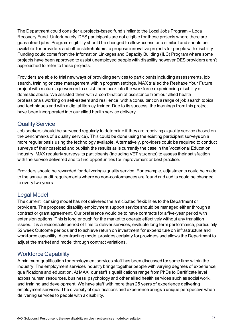The Department could consider a projects-based fund similar to the Local Jobs Program – Local Recovery Fund. Unfortunately, DES participants are not eligible for these projects where there are guaranteed jobs. Program eligibility should be changed to allow access or a similar fund should be available for providers and other stakeholders to propose innovative projects for people with disability. Funding could come from the Information Linkages and Capacity Building (ILC) Program where some projects have been approved to assist unemployed people with disability however DES providers aren't approached to refer to these projects.

Providers are able to trial new ways of providing services to participants including assessments, job search, training or case management within program settings. MAX trialled the Reshape Your Future project with mature age women to assist them back into the workforce experiencing disability or domestic abuse. We assisted them with a combination of assistance from our allied health professionals working on self-esteem and resilience, with a consultant on a range of job search topics and techniques and with a digital literacy trainer. Due to its success, the learnings from this project have been incorporated into our allied health service delivery.

### <span id="page-26-0"></span>Quality Service

Job seekers should be surveyed regularly to determine if they are receiving a quality service (based on the benchmarks of a quality service). This could be done using the existing participant surveys on a more regular basis using the technology available. Alternatively, providers could be required to conduct surveys of their caseload and publish the results as is currently the case in the Vocational Education industry. MAX regularly surveys its participants (including VET students) to assess their satisfaction with the service delivered and to find opportunities for improvement or best practice.

Providers should be rewarded for delivering a quality service. For example, adjustments could be made to the annual audit requirements where no non-conformances are found and audits could be changed to every two years.

### <span id="page-26-1"></span>Legal Model

The current licensing model has not delivered the anticipated flexibilities to the Department or providers. The proposed disability employment support service should be managed either through a contract or grant agreement. Our preference would be to have contracts for a five-year period with extension options. This is long enough for the market to operate effectively without any transition issues. It is a reasonable period of time to deliver services, evaluate long term performance, particularly 52 week Outcome periods and to achieve return on investment for expenditure on infrastructure and workforce capability. A contracting model provides certainty for providers and allows the Department to adjust the market and model through contract variations.

### <span id="page-26-2"></span>Workforce Capability

A minimum qualification for employment services staff has been discussed for some time within the industry. The employment services industry brings together people with varying degrees of experience, qualifications and education. At MAX, our staff's qualifications range from PhDs to Certificate level across human resources, business, psychology and other allied health services such as social work, and training and development. We have staff with more than 25 years of experience delivering employment services. The diversity of qualifications and experience brings a unique perspective when delivering services to people with a disability.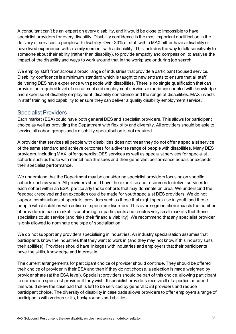A consultant can't be an expert on every disability, and it would be close to impossible to have specialist providers for every disability. Disability confidence is the most important qualification in the delivery of services to people with disability. Over 33% of staff within MAX either have a disability or have lived experience with a family member with a disability. This includes the way to talk sensitively to someone about their ability (rather than disability), to provide empathy and compassion, to analyse the impact of the disability and ways to work around that in the workplace or during job search.

We employ staff from across a broad range of industries that provide a participant focused service. Disability confidence is a minimum standard which is taught to new entrants to ensure that all staff delivering DES have experience with people with disabilities. There is no single qualification that can provide the required level of recruitment and employment services experience coupled with knowledge and expertise of disability employment, disability confidence and the range of disabilities. MAX invests in staff training and capability to ensure they can deliver a quality disability employment service.

### <span id="page-27-0"></span>Specialist Providers

Each market (ESA) could have both general DES and specialist providers. This allows for participant choice as well as providing the Department with flexibility and diversity. All providers should be able to service all cohort groups and a disability specialisation is not required.

A provider that services all people with disabilities does not mean they do not offer a specialist service of the same standard and achieve outcomes for a diverse range of people with disabilities. Many DES providers, including MAX, offer generalist DES services as well as specialist services for specialist cohorts such as those with mental health issues and their generalist performance equals or exceeds their specialist performance.

We understand that the Department may be considering specialist providers focusing on specific cohorts such as youth. All providers should have the expertise and resources to deliver services to each cohort within an ESA, particularly those cohorts that may dominate an area. We understand the feedback received and an exception could be made for youth specialist DES providers. We do not support combinations of specialist providers such as those that might specialise in youth and those people with disabilities with autism or spectrum disorders. This over-segmentation impacts the number of providers in each market, is confusing for participants and creates very small markets that these specialists could service (and risks their financial viability). We recommend that any specialist provider is only allowed to nominate one type of specialisation.

We do not support any providers specialising in industries. An industry specialisation assumes that participants know the industries that they want to work in (and they may not know if this industry suits their abilities). Providers should have linkages with industries and employers that their participants have the skills, knowledge and interest in.

The current arrangements for participant choice of provider should continue. They should be offered their choice of provider in their ESA and then if they do not choose, a selection is made weighted by provider share (at the ESA level). Specialist providers should be part of this choice, allowing participant to nominate a specialist provider if they wish. If specialist providers receive all of a particular cohort, this would skew the caseload that is left to be serviced by general DES providers and reduce participant choice. The diversity of disability in caseloads allows providers to offer employers a range of participants with various skills, backgrounds and abilities.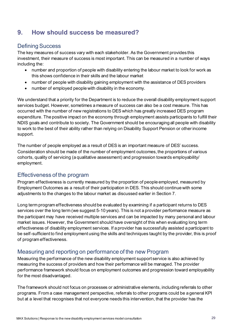# <span id="page-28-0"></span>**9. How should success be measured?**

### <span id="page-28-1"></span>Defining Success

The key measures of success vary with each stakeholder. As the Government provides this investment, their measure of success is most important. This can be measured in a number of ways including the:

- number and proportion of people with disability entering the labour market to look for work as this shows confidence in their skills and the labour market
- number of people with disability gaining employment with the assistance of DES providers
- number of employed people with disability in the economy.

We understand that a priority for the Department is to reduce the overall disability employment support services budget. However, sometimes a measure of success can also be a cost measure. This has occurred with the number of new registrations to DES which has greatly increased DES program expenditure. The positive impact on the economy through employment assists participants to fulfill their NDIS goals and contribute to society. The Government should be encouraging all people with disability to work to the best of their ability rather than relying on Disability Support Pension or other income support.

The number of people employed as a result of DES is an important measure of DES' success. Consideration should be made of the number of employment outcomes, the proportions of various cohorts, quality of servicing (a qualitative assessment) and progression towards employability/ employment.

### <span id="page-28-2"></span>Effectiveness of the program

Program effectiveness is currently measured by the proportion of people employed, measured by Employment Outcomes as a result of their participation in DES. This should continue with some adjustments to the changes to the labour market as discussed earlier in Section 7.

Long term program effectiveness should be evaluated by examining if a participant returns to DES services over the long term (we suggest 5-10 years). This is not a provider performance measure as the participant may have received multiple services and can be impacted by many personal and labour market issues. However, the Government should have oversight of this when evaluating long term effectiveness of disability employment services. If a provider has successfully assisted a participant to be self-sufficient to find employment using the skills and techniques taught by the provider, this is proof of program effectiveness.

### <span id="page-28-3"></span>Measuring and reporting on performance of the new Program

Measuring the performance of the new disability employment support service is also achieved by measuring the success of providers and how their performance will be managed. The provider performance framework should focus on employment outcomes and progression toward employability for the most disadvantaged.

The framework should not focus on processes or administrative elements, including referrals to other programs. From a case management perspective, referrals to other programs could be a general KPI but at a level that recognises that not everyone needs this intervention, that the provider has the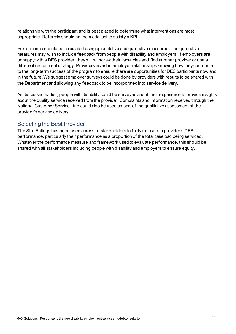relationship with the participant and is best placed to determine what interventions are most appropriate. Referrals should not be made just to satisfy a KPI.

Performance should be calculated using quantitative and qualitative measures. The qualitative measures may wish to include feedback from people with disability and employers. If employers are unhappy with a DES provider, they will withdraw their vacancies and find another provider or use a different recruitment strategy. Providers invest in employer relationships knowing how they contribute to the long-term success of the program to ensure there are opportunities for DES participants now and in the future. We suggest employer surveys could be done by providers with results to be shared with the Department and allowing any feedback to be incorporated into service delivery.

As discussed earlier, people with disability could be surveyed about their experience to provide insights about the quality service received from the provider. Complaints and information received through the National Customer Service Line could also be used as part of the qualitative assessment of the provider's service delivery.

### <span id="page-29-0"></span>Selecting the Best Provider

<span id="page-29-1"></span>The Star Ratings has been used across all stakeholders to fairly measure a provider's DES performance, particularly their performance as a proportion of the total caseload being serviced. Whatever the performance measure and framework used to evaluate performance, this should be shared with all stakeholders including people with disability and employers to ensure equity.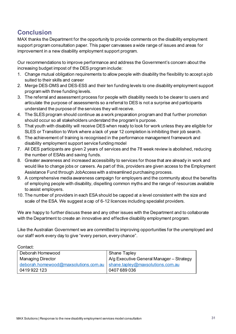# **Conclusion**

MAX thanks the Department for the opportunity to provide comments on the disability employment support program consultation paper. This paper canvasses a wide range of issues and areas for improvement in a new disability employment support program.

Our recommendations to improve performance and address the Government's concern about the increasing budget impost of the DES program include:

- 1. Change mutual obligation requirements to allow people with disability the flexibility to accept a job suited to their skills and career
- 2. Merge DES-DMS and DES-ESS and their ten funding levels to one disability employment support program with three funding levels.
- 3. The referral and assessment process for people with disability needs to be clearer to users and articulate the purpose of assessments so a referral to DES is not a surprise and participants understand the purpose of the services they will receive.
- 4. The SLES program should continue as a work preparation program and that further promotion should occur so all stakeholders understand the program's purpose.
- 5. That youth with disability will receive DES when ready to look for work unless they are eligible for SLES or Transition to Work where a lack of year 12 completion is inhibiting their job search.
- 6. The achievement of training is recognised in the performance management framework and disability employment support service funding model
- 7. All DES participants are given 2 years of services and the 78 week review is abolished, reducing the number of ESAts and saving funds.
- 8. Greater awareness and increased accessibility to services for those that are already in work and would like to change jobs or careers. As part of this, providers are given access to the Employment Assistance Fund through JobAccess with a streamlined purchasing process.
- 9. A comprehensive media awareness campaign for employers and the community about the benefits of employing people with disability, dispelling common myths and the range of resources available to assist employers.
- 10. The number of providers in each ESA should be capped at a level consistent with the size and scale of the ESA. We suggest a cap of 6-12 licences including specialist providers.

We are happy to further discuss these and any other issues with the Department and to collaborate with the Department to create an innovative and effective disability employment program.

Like the Australian Government we are committed to improving opportunities for the unemployed and our staff work every day to give "every person, every chance".

Contact:

| Deborah Homewood                                                        | <b>Shane Tapley</b>                      |  |
|-------------------------------------------------------------------------|------------------------------------------|--|
| <b>Managing Director</b>                                                | A/g Executive General Manager – Strategy |  |
| deborah.homewood@maxsolutions.com.au   shane.tapley@maxsolutions.com.au |                                          |  |
| 0419922123                                                              | 0407 689 036                             |  |